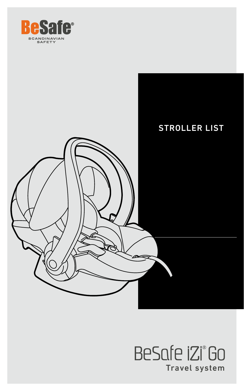



## BeSafe iZi°Go Travel system